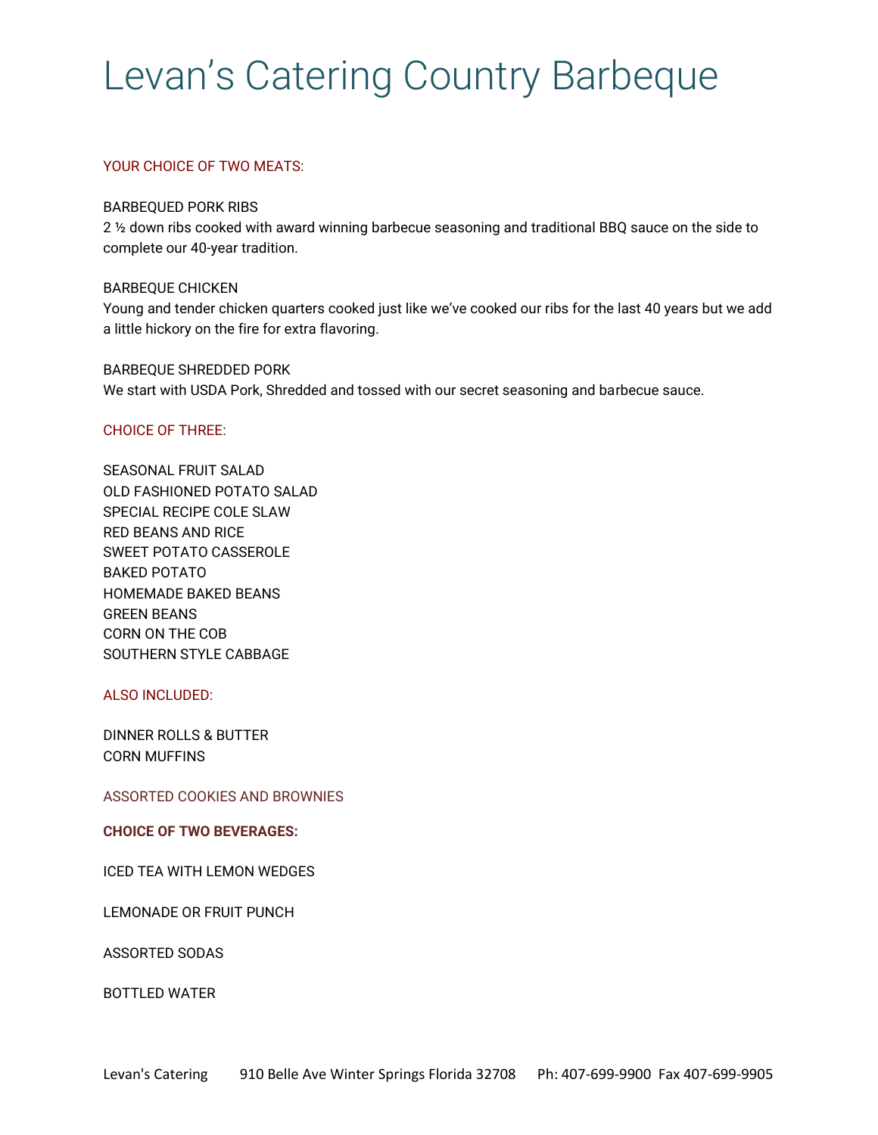# Levan's Catering Country Barbeque

## YOUR CHOICE OF TWO MEATS:

#### BARBEQUED PORK RIBS

2 ½ down ribs cooked with award winning barbecue seasoning and traditional BBQ sauce on the side to complete our 40-year tradition.

### BARBEQUE CHICKEN

Young and tender chicken quarters cooked just like we've cooked our ribs for the last 40 years but we add a little hickory on the fire for extra flavoring.

BARBEQUE SHREDDED PORK We start with USDA Pork, Shredded and tossed with our secret seasoning and barbecue sauce.

### CHOICE OF THREE:

SEASONAL FRUIT SALAD OLD FASHIONED POTATO SALAD SPECIAL RECIPE COLE SLAW RED BEANS AND RICE SWEET POTATO CASSEROLE BAKED POTATO HOMEMADE BAKED BEANS GREEN BEANS CORN ON THE COB SOUTHERN STYLE CABBAGE

### ALSO INCLUDED:

DINNER ROLLS & BUTTER CORN MUFFINS

ASSORTED COOKIES AND BROWNIES

## **CHOICE OF TWO BEVERAGES:**

ICED TEA WITH LEMON WEDGES

LEMONADE OR FRUIT PUNCH

ASSORTED SODAS

BOTTLED WATER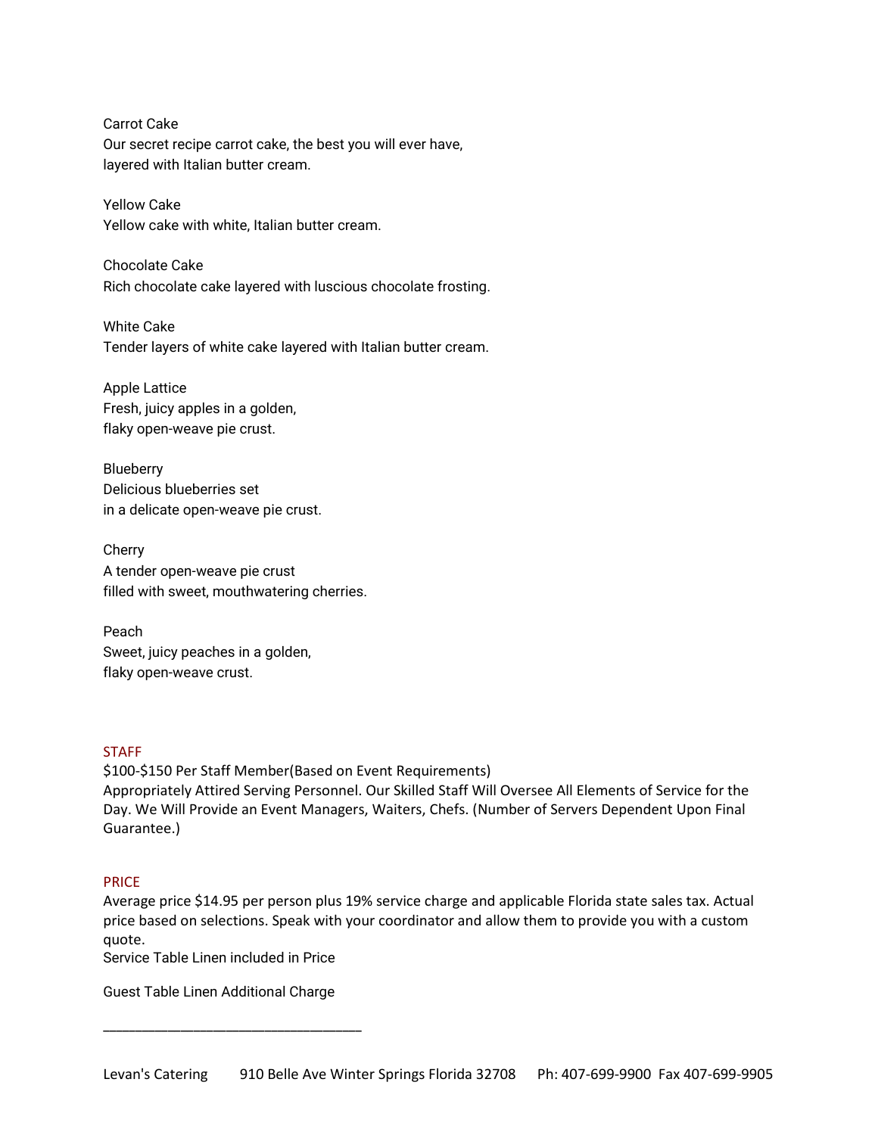Carrot Cake Our secret recipe carrot cake, the best you will ever have, layered with Italian butter cream.

Yellow Cake Yellow cake with white, Italian butter cream.

Chocolate Cake Rich chocolate cake layered with luscious chocolate frosting.

White Cake Tender layers of white cake layered with Italian butter cream.

Apple Lattice Fresh, juicy apples in a golden, flaky open-weave pie crust.

Blueberry Delicious blueberries set in a delicate open-weave pie crust.

Cherry A tender open-weave pie crust filled with sweet, mouthwatering cherries.

Peach Sweet, juicy peaches in a golden, flaky open-weave crust.

# **STAFF**

\$100-\$150 Per Staff Member(Based on Event Requirements) Appropriately Attired Serving Personnel. Our Skilled Staff Will Oversee All Elements of Service for the Day. We Will Provide an Event Managers, Waiters, Chefs. (Number of Servers Dependent Upon Final Guarantee.)

# PRICE

Average price \$14.95 per person plus 19% service charge and applicable Florida state sales tax. Actual price based on selections. Speak with your coordinator and allow them to provide you with a custom quote.

Service Table Linen included in Price

Guest Table Linen Additional Charge

\_\_\_\_\_\_\_\_\_\_\_\_\_\_\_\_\_\_\_\_\_\_\_\_\_\_\_\_\_\_\_\_\_\_\_\_\_\_\_\_